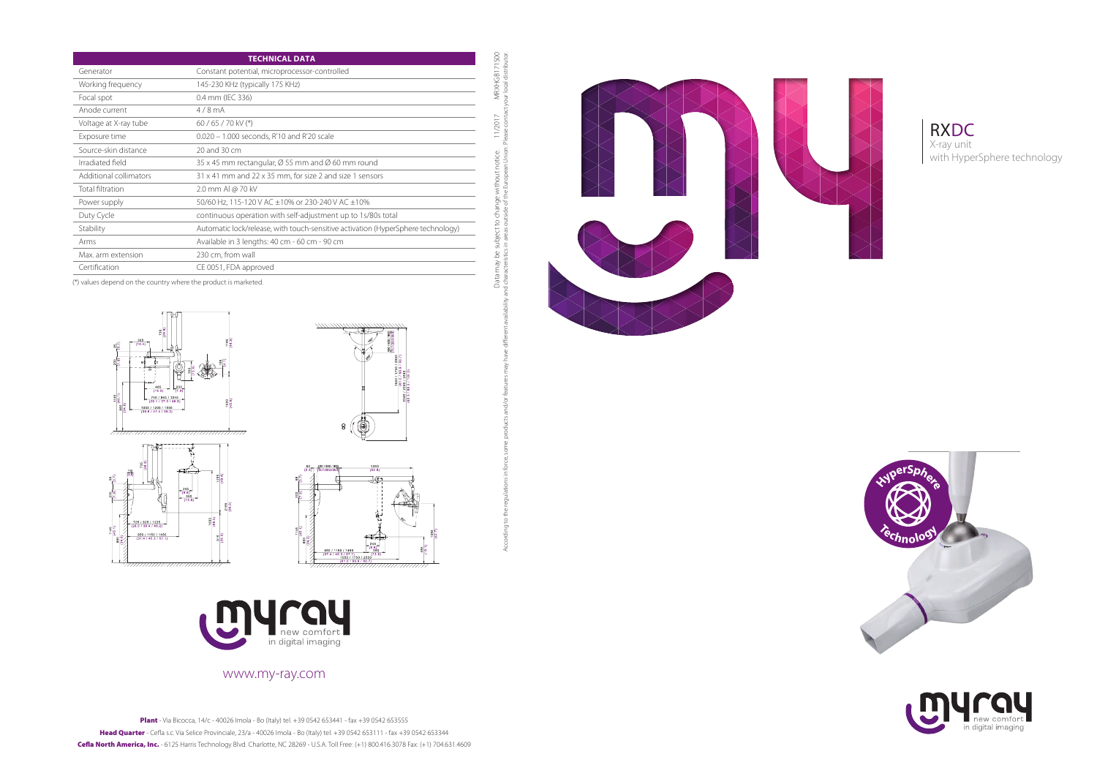



# www.my-ray.com

Plant - Via Bicocca, 14/c - 40026 Imola - Bo (Italy) tel. +39 0542 653441 - fax +39 0542 653555 Head Quarter - Cefla s.c. Via Selice Provinciale, 23/a - 40026 Imola - Bo (Italy) tel. +39 0542 653111 - fax +39 0542 653344 Cefla North America, Inc. - 6125 Harris Technology Blvd. Charlotte, NC 28269 - U.S.A. Toll Free: (+1) 800.416.3078 Fax: (+1) 704.631.4609 MRXHGB171S00<br>our local distributor. Data may be subject to change without notice. 11/2017 MRXHGB171S00 According to the regulations in force, some products and/or features may have different availability and characteristics in areas outside of the European Union. Please contact your local distributor.11/2017 Data may be subject to change w<br>d characteristics in areas outside of the





(\*) values depend on the country where the product is marketed.











|                         | <b>TECHNICAL DATA</b>                                                            |
|-------------------------|----------------------------------------------------------------------------------|
| Generator               | Constant potential, microprocessor-controlled                                    |
| Working frequency       | 145-230 KHz (typically 175 KHz)                                                  |
| Focal spot              | 0.4 mm (IEC 336)                                                                 |
| Anode current           | $4/8$ mA                                                                         |
| Voltage at X-ray tube   | $60/65/70$ kV (*)                                                                |
| Exposure time           | $0.020 - 1.000$ seconds, R'10 and R'20 scale                                     |
| Source-skin distance    | 20 and 30 cm                                                                     |
| Irradiated field        | 35 x 45 mm rectangular, $\varnothing$ 55 mm and $\varnothing$ 60 mm round        |
| Additional collimators  | 31 x 41 mm and 22 x 35 mm, for size 2 and size 1 sensors                         |
| <b>Total filtration</b> | 2.0 mm Al @ 70 kV                                                                |
| Power supply            | 50/60 Hz, 115-120 V AC ±10% or 230-240 V AC ±10%                                 |
| Duty Cycle              | continuous operation with self-adjustment up to 1s/80s total                     |
| Stability               | Automatic lock/release, with touch-sensitive activation (HyperSphere technology) |
| Arms                    | Available in 3 lengths: 40 cm - 60 cm - 90 cm                                    |
| Max. arm extension      | 230 cm, from wall                                                                |
| Certification           | CE 0051, FDA approved                                                            |

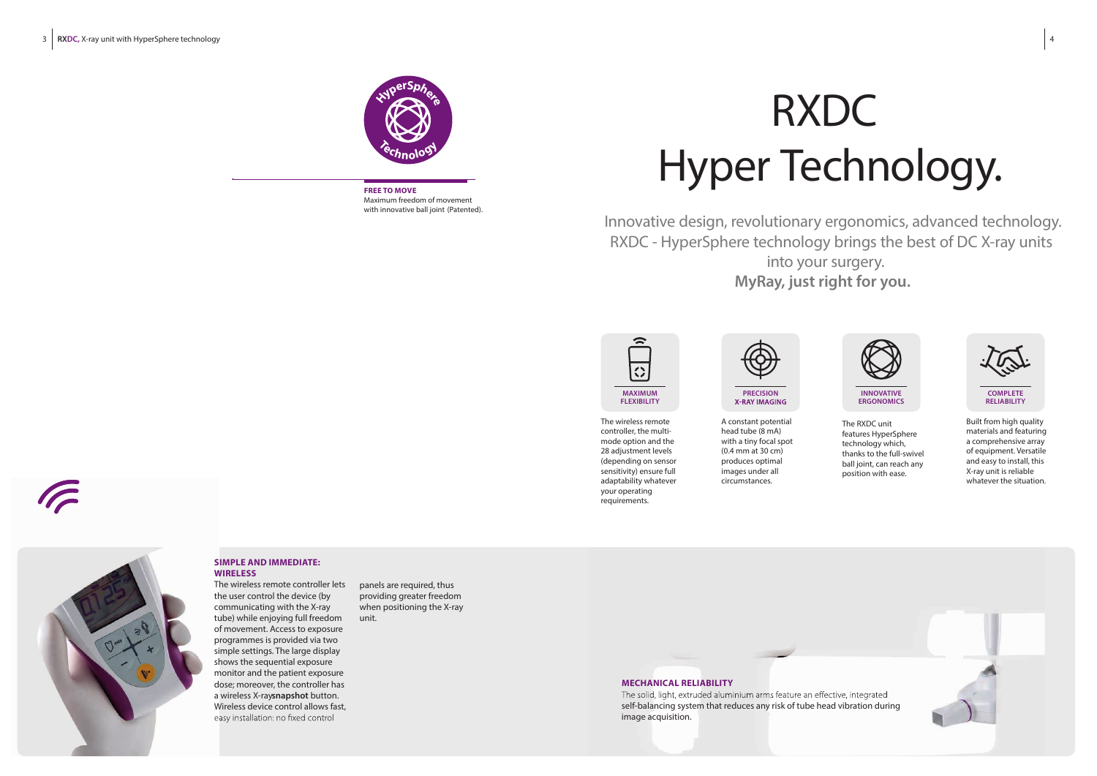

The wireless remote controller, the multimode option and the 28 adjustment levels (depending on sensor sensitivity) ensure full adaptability whatever your operating requirements.

A constant potential head tube (8 mA) with a tiny focal spot (0.4 mm at 30 cm) produces optimal images under all circumstances.



The RXDC unit features HyperSphere technology which, thanks to the full-swivel ball joint, can reach any position with ease.

The wireless remote controller lets the user control the device (by communicating with the X-ray tube) while enjoying full freedom of movement. Access to exposure programmes is provided via two simple settings. The large display shows the sequential exposure monitor and the patient exposure dose; moreover, the controller has a wireless X-ray**snapshot** button. Wireless device control allows fast, easy installation: no fixed control

Built from high quality materials and featuring a comprehensive array of equipment. Versatile and easy to install, this X-ray unit is reliable whatever the situation.



# RXDC Hyper Technology.

The solid, light, extruded aluminium arms feature an effective, integrated self-balancing system that reduces any risk of tube head vibration during image acquisition.

Innovative design, revolutionary ergonomics, advanced technology. RXDC - HyperSphere technology brings the best of DC X-ray units into your surgery. **MyRay, just right for you.**

# **SIMPLE AND IMMEDIATE: WIRELESS**

**MECHANICAL RELIABILITY**

panels are required, thus providing greater freedom when positioning the X-ray unit.









**FREE TO MOVE** Maximum freedom of movement with innovative ball joint (Patented).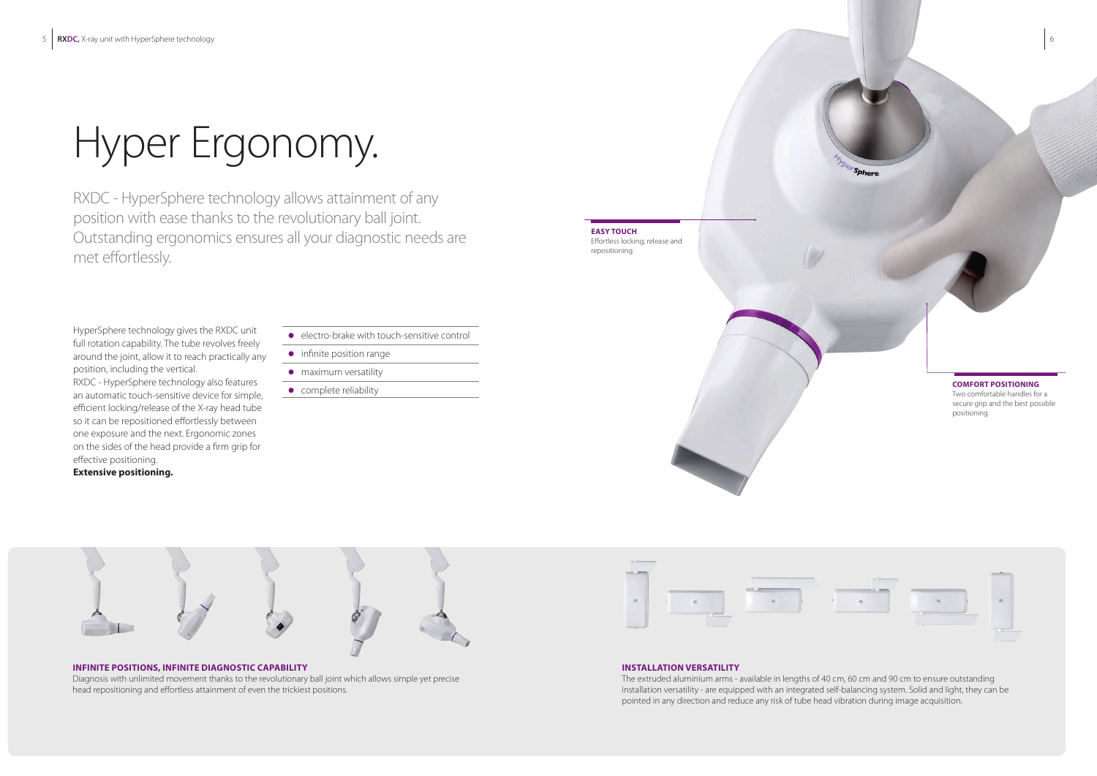# Hyper Ergonomy.

RXDC - HyperSphere technology allows attainment of any position with ease thanks to the revolutionary ball joint. Outstanding ergonomics ensures all your diagnostic needs are met effortlessly.

HyperSphere technology gives the RXDC unit full rotation capability. The tube revolves freely around the joint, allow it to reach practically any position, including the vertical. RXDC - HyperSphere technology also features an automatic touch-sensitive device for simple,

efficient locking/release of the X-ray head tube so it can be repositioned effortlessly between one exposure and the next. Ergonomic zones on the sides of the head provide a firm grip for effective positioning.

# **Extensive positioning.**

- electro-brake with touch-sensitive control
- **•** infinite position range
- maximum versatility
- complete reliability



# **INFINITE POSITIONS, INFINITE DIAGNOSTIC CAPABILITY**

Diagnosis with unlimited movement thanks to the revolutionary ball joint which allows simple yet precise head repositioning and effortless attainment of even the trickiest positions.



## **INSTALLATION VERSATILITY**

The extruded aluminium arms - available in lengths of 40 cm, 60 cm and 90 cm to ensure outstanding installation versatility - are equipped with an integrated self-balancing system. Solid and light, they can be pointed in any direction and reduce any risk of tube head vibration during image acquisition.

**COMFORT POSITIONING** Two comfortable handles for a secure grip and the best possible positioning.

**EASY TOUCH**